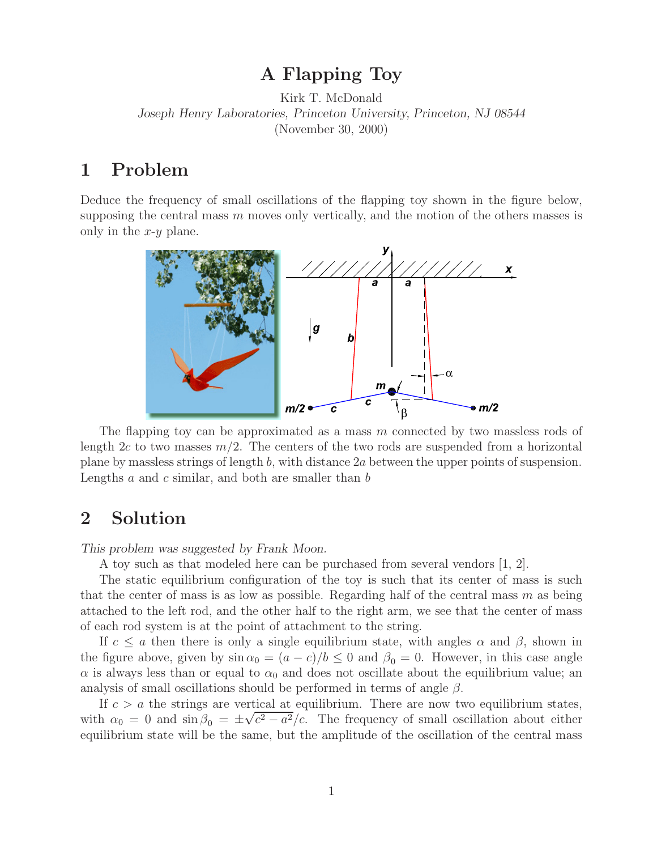**A** Figure Toya Figure Toya Kirk T. McDonald *Joseph Henry Laboratories, Princeton University, Princeton, NJ 08544* (November 30, 2000)

Deduce the frequency of small oscillations of the flapping toy shown in the figure below, supposing the central mass  $m$  moves only vertically, and the motion of the others masses is only in the  $x-y$  plane.



The flapping toy can be approximated as a mass  $m$  connected by two massless rods of length  $2c$  to two masses  $m/2$ . The centers of the two rods are suspended from a horizontal plane by massless strings of length b, with distance 2a between the upper points of suspension. Lengths  $a$  and  $c$  similar, and both are smaller than  $b$ 

## **2 Solution**

*This problem was suggested by Frank Moon.*

A toy such as that modeled here can be purchased from several vendors [1, 2].

The static equilibrium configuration of the toy is such that its center of mass is such that the center of mass is as low as possible. Regarding half of the central mass  $m$  as being attached to the left rod, and the other half to the right arm, we see that the center of mass of each rod system is at the point of attachment to the string.

If  $c \le a$  then there is only a single equilibrium state, with angles  $\alpha$  and  $\beta$ , shown in the figure above, given by  $\sin \alpha_0 = (a - c)/b \leq 0$  and  $\beta_0 = 0$ . However, in this case angle  $\alpha$  is always less than or equal to  $\alpha_0$  and does not oscillate about the equilibrium value; an analysis of small oscillations should be performed in terms of angle  $\beta$ .

If  $c > a$  the strings are vertical at equilibrium. There are now two equilibrium states, with  $\alpha_0 = 0$  and  $\sin \beta_0 = \pm \sqrt{c^2 - a^2}/c$ . The frequency of small oscillation about either equilibrium state will be the same, but the amplitude of the oscillation of the central mass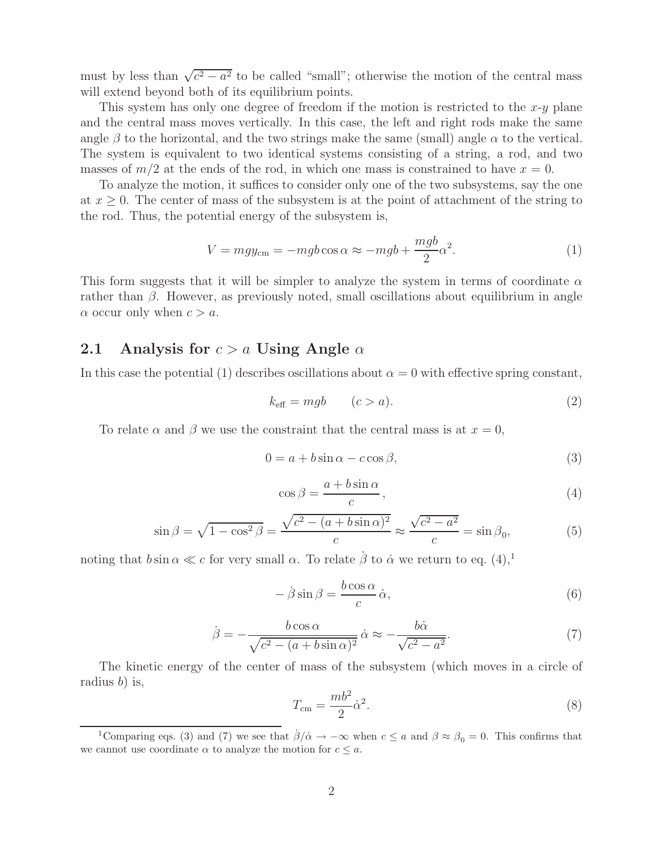must by less than  $\sqrt{c^2 - a^2}$  to be called "small"; otherwise the motion of the central mass will extend beyond both of its equilibrium points.

This system has only one degree of freedom if the motion is restricted to the  $x-y$  plane and the central mass moves vertically. In this case, the left and right rods make the same angle  $\beta$  to the horizontal, and the two strings make the same (small) angle  $\alpha$  to the vertical. The system is equivalent to two identical systems consisting of a string, a rod, and two masses of  $m/2$  at the ends of the rod, in which one mass is constrained to have  $x = 0$ .

To analyze the motion, it suffices to consider only one of the two subsystems, say the one at  $x \geq 0$ . The center of mass of the subsystem is at the point of attachment of the string to the rod. Thus, the potential energy of the subsystem is,

$$
V = mgy_{\rm cm} = -mgb\cos\alpha \approx -mgb + \frac{mgb}{2}\alpha^2.
$$
 (1)

This form suggests that it will be simpler to analyze the system in terms of coordinate  $\alpha$ rather than  $\beta$ . However, as previously noted, small oscillations about equilibrium in angle  $\alpha$  occur only when  $c > a$ .

#### **2.1** Analysis for  $c > a$  Using Angle  $\alpha$

In this case the potential (1) describes oscillations about  $\alpha = 0$  with effective spring constant,

$$
k_{\text{eff}} = mgb \qquad (c > a). \tag{2}
$$

To relate  $\alpha$  and  $\beta$  we use the constraint that the central mass is at  $x = 0$ ,

$$
0 = a + b\sin\alpha - c\cos\beta,\tag{3}
$$

$$
\cos \beta = \frac{a + b \sin \alpha}{c},\tag{4}
$$

$$
\sin \beta = \sqrt{1 - \cos^2 \beta} = \frac{\sqrt{c^2 - (a + b \sin \alpha)^2}}{c} \approx \frac{\sqrt{c^2 - a^2}}{c} = \sin \beta_0,\tag{5}
$$

noting that  $b \sin \alpha \ll c$  for very small  $\alpha$ . To relate  $\dot{\beta}$  to  $\dot{\alpha}$  we return to eq. (4),<sup>1</sup>

$$
-\dot{\beta}\sin\beta = \frac{b\cos\alpha}{c}\dot{\alpha},\tag{6}
$$

$$
\dot{\beta} = -\frac{b \cos \alpha}{\sqrt{c^2 - (a + b \sin \alpha)^2}} \dot{\alpha} \approx -\frac{b \dot{\alpha}}{\sqrt{c^2 - a^2}}.
$$
\n(7)

The kinetic energy of the center of mass of the subsystem (which moves in a circle of radius b) is,

$$
T_{\rm cm} = \frac{mb^2}{2} \dot{\alpha}^2. \tag{8}
$$

<sup>&</sup>lt;sup>1</sup>Comparing eqs. (3) and (7) we see that  $\dot{\beta}/\dot{\alpha} \rightarrow -\infty$  when  $c \le a$  and  $\beta \approx \beta_0 = 0$ . This confirms that we cannot use coordinate  $\alpha$  to analyze the motion for  $c \leq a$ .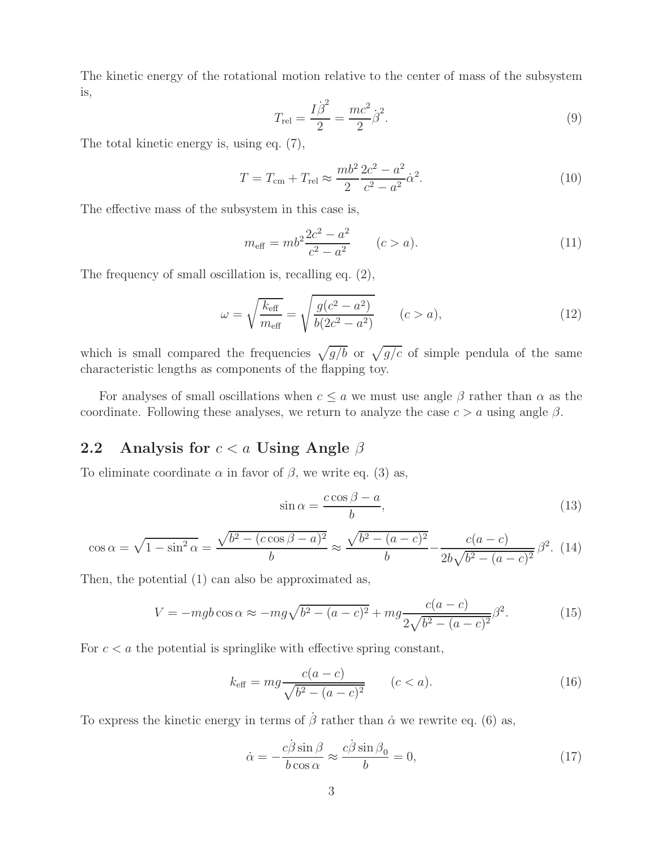The kinetic energy of the rotational motion relative to the center of mass of the subsystem is,

$$
T_{\rm rel} = \frac{I\dot{\beta}^2}{2} = \frac{mc^2}{2}\dot{\beta}^2.
$$
 (9)

The total kinetic energy is, using eq. (7),

$$
T = T_{\rm cm} + T_{\rm rel} \approx \frac{mb^2}{2} \frac{2c^2 - a^2}{c^2 - a^2} \dot{\alpha}^2.
$$
 (10)

The effective mass of the subsystem in this case is,

$$
m_{\text{eff}} = mb^2 \frac{2c^2 - a^2}{c^2 - a^2} \qquad (c > a). \tag{11}
$$

The frequency of small oscillation is, recalling eq. (2),

$$
\omega = \sqrt{\frac{k_{\text{eff}}}{m_{\text{eff}}}} = \sqrt{\frac{g(c^2 - a^2)}{b(2c^2 - a^2)}} \qquad (c > a),
$$
\n(12)

which is small compared the frequencies  $\sqrt{g/b}$  or  $\sqrt{g/c}$  of simple pendula of the same characteristic lengths as components of the flapping toy.

For analyses of small oscillations when  $c \le a$  we must use angle  $\beta$  rather than  $\alpha$  as the coordinate. Following these analyses, we return to analyze the case  $c > a$  using angle  $\beta$ .

#### **2.2 Analysis for** c<a **Using Angle** <sup>β</sup>

To eliminate coordinate  $\alpha$  in favor of  $\beta$ , we write eq. (3) as,

$$
\sin \alpha = \frac{c \cos \beta - a}{b},\tag{13}
$$

$$
\cos \alpha = \sqrt{1 - \sin^2 \alpha} = \frac{\sqrt{b^2 - (c \cos \beta - a)^2}}{b} \approx \frac{\sqrt{b^2 - (a - c)^2}}{b} - \frac{c(a - c)}{2b\sqrt{b^2 - (a - c)^2}} \beta^2. \tag{14}
$$

Then, the potential (1) can also be approximated as,

$$
V = -mgb\cos\alpha \approx -mg\sqrt{b^2 - (a-c)^2} + mg\frac{c(a-c)}{2\sqrt{b^2 - (a-c)^2}}\beta^2.
$$
 (15)

For  $c < a$  the potential is springlike with effective spring constant,

$$
k_{\text{eff}} = mg \frac{c(a-c)}{\sqrt{b^2 - (a-c)^2}} \qquad (c < a). \tag{16}
$$

To express the kinetic energy in terms of  $\hat{\beta}$  rather than  $\dot{\alpha}$  we rewrite eq. (6) as,

$$
\dot{\alpha} = -\frac{c\dot{\beta}\sin\beta}{b\cos\alpha} \approx \frac{c\dot{\beta}\sin\beta_0}{b} = 0,
$$
\n(17)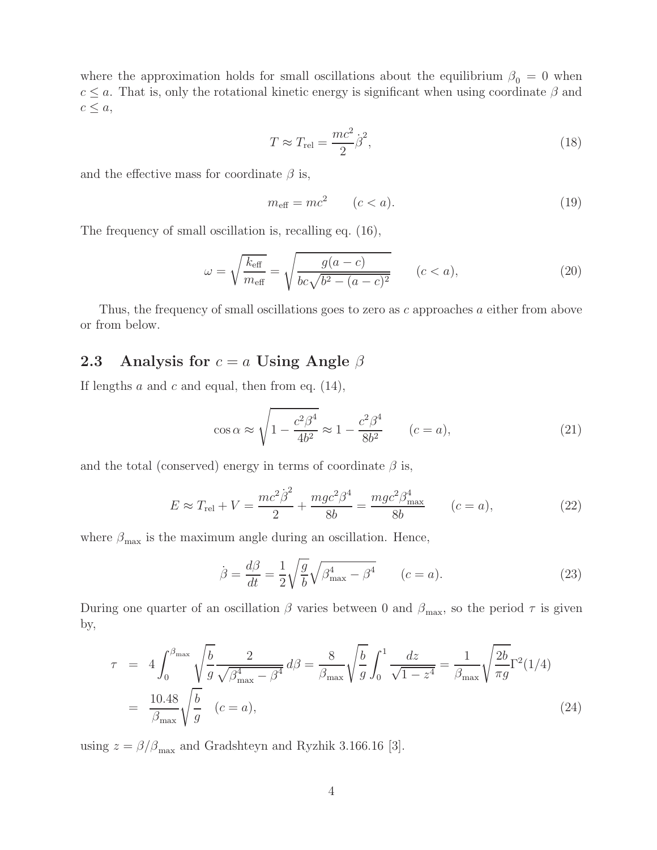where the approximation holds for small oscillations about the equilibrium  $\beta_0 = 0$  when  $c \le a$ . That is, only the rotational kinetic energy is significant when using coordinate  $\beta$  and  $c \leq a$ ,

$$
T \approx T_{\text{rel}} = \frac{mc^2}{2} \dot{\beta}^2,\tag{18}
$$

and the effective mass for coordinate  $\beta$  is,

$$
m_{\text{eff}} = mc^2 \qquad (c < a). \tag{19}
$$

The frequency of small oscillation is, recalling eq. (16),

$$
\omega = \sqrt{\frac{k_{\text{eff}}}{m_{\text{eff}}}} = \sqrt{\frac{g(a-c)}{bc\sqrt{b^2 - (a-c)^2}}}
$$
  $(c < a),$  (20)

Thus, the frequency of small oscillations goes to zero as c approaches a either from above or from below.

### **2.3** Analysis for  $c = a$  Using Angle  $\beta$

If lengths  $a$  and  $c$  and equal, then from eq. (14),

$$
\cos \alpha \approx \sqrt{1 - \frac{c^2 \beta^4}{4b^2}} \approx 1 - \frac{c^2 \beta^4}{8b^2} \qquad (c = a),
$$
\n(21)

and the total (conserved) energy in terms of coordinate  $\beta$  is,

$$
E \approx T_{\text{rel}} + V = \frac{mc^2 \dot{\beta}^2}{2} + \frac{mgc^2 \beta^4}{8b} = \frac{mgc^2 \beta_{\text{max}}^4}{8b} \qquad (c = a), \tag{22}
$$

where  $\beta_{\text{max}}$  is the maximum angle during an oscillation. Hence,

$$
\dot{\beta} = \frac{d\beta}{dt} = \frac{1}{2} \sqrt{\frac{g}{b}} \sqrt{\beta_{\text{max}}^4 - \beta^4} \qquad (c = a). \tag{23}
$$

During one quarter of an oscillation  $\beta$  varies between 0 and  $\beta_{\text{max}}$ , so the period  $\tau$  is given by,

$$
\tau = 4 \int_0^{\beta_{\text{max}}} \sqrt{\frac{b}{g}} \frac{2}{\sqrt{\beta_{\text{max}}^4 - \beta^4}} d\beta = \frac{8}{\beta_{\text{max}}} \sqrt{\frac{b}{g}} \int_0^1 \frac{dz}{\sqrt{1 - z^4}} = \frac{1}{\beta_{\text{max}}} \sqrt{\frac{2b}{\pi g}} \Gamma^2(1/4)
$$
  
=  $\frac{10.48}{\beta_{\text{max}}} \sqrt{\frac{b}{g}}$  (*c* = *a*), (24)

using  $z = \beta/\beta_{\text{max}}$  and Gradshteyn and Ryzhik 3.166.16 [3].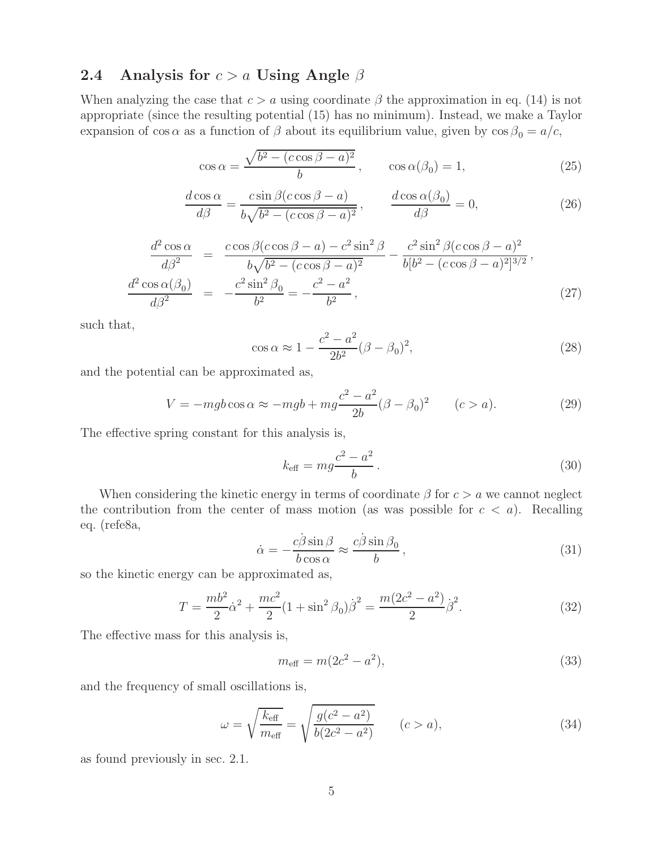## **2.4 Analysis for** c>a **Using Angle** <sup>β</sup>

When analyzing the case that  $c > a$  using coordinate  $\beta$  the approximation in eq. (14) is not appropriate (since the resulting potential (15) has no minimum). Instead, we make a Taylor expansion of cos  $\alpha$  as a function of  $\beta$  about its equilibrium value, given by  $\cos \beta_0 = a/c$ ,

$$
\cos \alpha = \frac{\sqrt{b^2 - (c \cos \beta - a)^2}}{b}, \qquad \cos \alpha(\beta_0) = 1,\tag{25}
$$

$$
\frac{d\cos\alpha}{d\beta} = \frac{c\sin\beta(c\cos\beta - a)}{b\sqrt{b^2 - (c\cos\beta - a)^2}}, \qquad \frac{d\cos\alpha(\beta_0)}{d\beta} = 0,
$$
\n(26)

$$
\frac{d^2 \cos \alpha}{d\beta^2} = \frac{c \cos \beta (c \cos \beta - a) - c^2 \sin^2 \beta}{b \sqrt{b^2 - (c \cos \beta - a)^2}} - \frac{c^2 \sin^2 \beta (c \cos \beta - a)^2}{b [b^2 - (c \cos \beta - a)^2]^{3/2}},
$$
  

$$
\frac{d^2 \cos \alpha (\beta_0)}{d\beta^2} = -\frac{c^2 \sin^2 \beta_0}{b^2} = -\frac{c^2 - a^2}{b^2},
$$
(27)

such that,

$$
\cos \alpha \approx 1 - \frac{c^2 - a^2}{2b^2} (\beta - \beta_0)^2,
$$
\n(28)

and the potential can be approximated as,

$$
V = -mgb\cos\alpha \approx -mgb + mg\frac{c^2 - a^2}{2b}(\beta - \beta_0)^2 \qquad (c > a). \tag{29}
$$

The effective spring constant for this analysis is,

$$
k_{\text{eff}} = mg \frac{c^2 - a^2}{b} \,. \tag{30}
$$

When considering the kinetic energy in terms of coordinate  $\beta$  for  $c > a$  we cannot neglect the contribution from the center of mass motion (as was possible for  $c < a$ ). Recalling eq. (refe8a,

$$
\dot{\alpha} = -\frac{c\dot{\beta}\sin\beta}{b\cos\alpha} \approx \frac{c\dot{\beta}\sin\beta_0}{b},\qquad(31)
$$

so the kinetic energy can be approximated as,

$$
T = \frac{mb^2}{2}\dot{\alpha}^2 + \frac{mc^2}{2}(1 + \sin^2\beta_0)\dot{\beta}^2 = \frac{m(2c^2 - a^2)}{2}\dot{\beta}^2.
$$
 (32)

The effective mass for this analysis is,

$$
m_{\text{eff}} = m(2c^2 - a^2),\tag{33}
$$

and the frequency of small oscillations is,

$$
\omega = \sqrt{\frac{k_{\text{eff}}}{m_{\text{eff}}}} = \sqrt{\frac{g(c^2 - a^2)}{b(2c^2 - a^2)}} \qquad (c > a),
$$
\n(34)

as found previously in sec. 2.1.